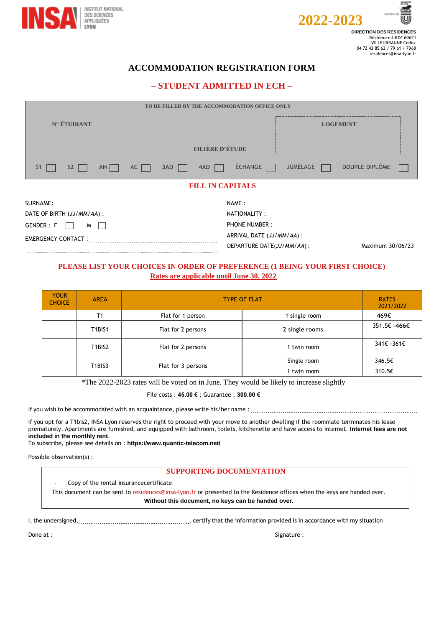



# **ACCOMMODATION REGISTRATION FORM**

# **– STUDENT ADMITTED IN ECH –**

| TO BE FILLED BY THE ACCOMMODATION OFFICE ONLY          |                                                                            |  |  |  |  |
|--------------------------------------------------------|----------------------------------------------------------------------------|--|--|--|--|
| N° ÉTUDIANT                                            | <b>LOGEMENT</b>                                                            |  |  |  |  |
| <b>FILIÈRE D'ÉTUDE</b>                                 |                                                                            |  |  |  |  |
| 4AD<br>3AD<br>$S2$  <br>S <sub>1</sub><br>AN  <br>$AC$ | DOUPLE DIPLÔME<br>ÉCHANGE  <br><b>JUMELAGE</b>                             |  |  |  |  |
| <b>FILL IN CAPITALS</b>                                |                                                                            |  |  |  |  |
| SURNAME:                                               | NAME:                                                                      |  |  |  |  |
| DATE OF BIRTH (JJ/MM/AA) :                             | NATIONALITY:                                                               |  |  |  |  |
| GENDER: F<br>M                                         | <b>PHONE NUMBER:</b>                                                       |  |  |  |  |
| <b>EMERGENCY CONTACT:</b>                              | ARRIVAL DATE (JJ/MM/AA) :<br>DEPARTURE DATE(JJ/MM/AA):<br>Maximum 30/06/23 |  |  |  |  |

## **PLEASE LIST YOUR CHOICES IN ORDER OF PREFERENCE (1 BEING YOUR FIRST CHOICE) Rates are applicable until June 30, 2022**

| <b>YOUR</b><br><b>CHOICE</b> | <b>AREA</b>                     | <b>TYPE OF FLAT</b> |                | <b>RATES</b><br>2021/2022 |
|------------------------------|---------------------------------|---------------------|----------------|---------------------------|
|                              | T1                              | Flat for 1 person   | single room    | 469€                      |
|                              | <b>T1BIS1</b>                   | Flat for 2 persons  | 2 single rooms | 351.5€ -466€              |
|                              | T <sub>1</sub> BIS <sub>2</sub> | Flat for 2 persons  | 1 twin room    | 341€ -361€                |
|                              | T <sub>1</sub> BIS <sub>3</sub> |                     | Single room    | 346.5€                    |
|                              |                                 | Flat for 3 persons  | twin room      | 310.5€                    |

\*The 2022-2023 rates will be voted on in June. They would be likely to increase slightly

File costs : **45.00 €** ; Guarantee : **300.00 €**

If you wish to be accommodated with an acquaintance, please write his/her name: ...................

If you opt for a T1bis2, INSA Lyon reserves the right to proceed with your move to another dwelling if the roommate terminates his lease prematurely. Apartments are furnished, and equipped with bathroom, toilets, kitchenette and have access to internet. **Internet fees are not included in the monthly rent**.

To subscribe, please see details on : **[https://www.quantic-telecom.net/](http://www.quantic-telecom.net/)**

Possible observation(s) :

## **SUPPORTING DOCUMENTATION**

Copy of the rental insurancecertificate

This document can be sent to [residences@insa-lyon.fr o](mailto:residences@insa-lyon.fr)r presented to the Residence offices when the keys are handed over. **Without this document, no keys can be handed over.**

I, the undersigned, Matherian and the information provided is in accordance with my situation

Done at : Signature : Signature : Signature : Signature : Signature : Signature :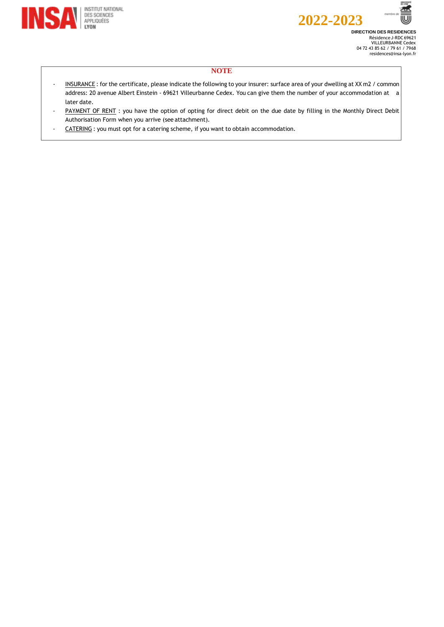





EV.

≝ w

## **NOTE**

- INSURANCE: for the certificate, please indicate the following to your insurer: surface area of your dwelling at XX m2 / common address: 20 avenue Albert Einstein - 69621 Villeurbanne Cedex. You can give them the number of your accommodation at a later date.
- PAYMENT OF RENT : you have the option of opting for direct debit on the due date by filling in the Monthly Direct Debit Authorisation Form when you arrive (see attachment).
- CATERING: you must opt for a catering scheme, if you want to obtain accommodation.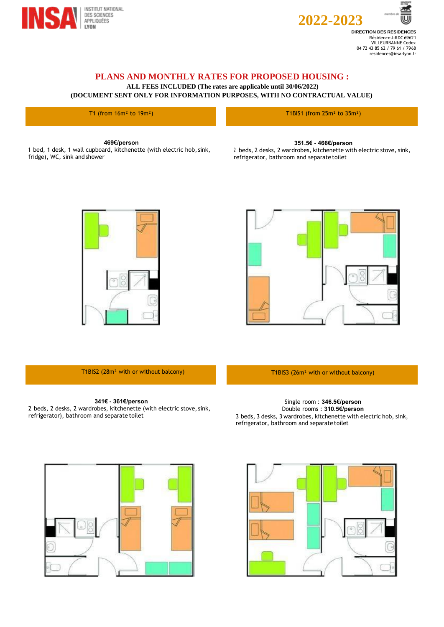



**DIRECTION DES RESIDENCES** Résidence J-RDC 69621 VILLEURBANNE Cedex 04 72 43 85 62 / 79 61 / 7968 [residences@insa-lyon.fr](mailto:residences@insa-lyon.fr)

# **PLANS AND MONTHLY RATES FOR PROPOSED HOUSING :**

**ALL FEES INCLUDED (The rates are applicable until 30/06/2022)**

**(DOCUMENT SENT ONLY FOR INFORMATION PURPOSES, WITH NO CONTRACTUAL VALUE)**

T1 (from  $16m^2$  to  $19m^2$ ) The set of the set of the set of the set of the T1BIS1 (from  $25m^2$  to  $35m^2$ )

#### **469€/person**

<sup>1</sup> bed, 1 desk, 1 wall cupboard, kitchenette (with electric hob, sink, fridge), WC, sink and shower

#### **351.5€ - 466€/person**

<sup>2</sup> beds, 2 desks, 2 wardrobes, kitchenette with electric stove, sink, refrigerator, bathroom and separate toilet





T1BIS2 (28m<sup>2</sup> with or without balcony) T1BIS3 (26m<sup>2</sup> with or without balcony)

### **341€ - 361€/person**

2 beds, 2 desks, 2 wardrobes, kitchenette (with electric stove, sink, refrigerator), bathroom and separate toilet

Single room : **346.5€/person** Double rooms : **310.5€/person** 3 beds, 3 desks, 3 wardrobes, kitchenette with electric hob, sink, refrigerator, bathroom and separate toilet